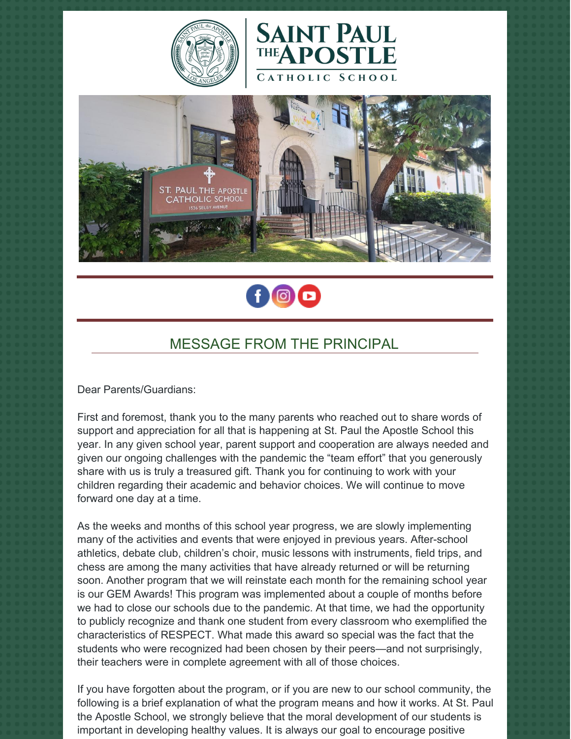







# MESSAGE FROM THE PRINCIPAL

Dear Parents/Guardians:

First and foremost, thank you to the many parents who reached out to share words of support and appreciation for all that is happening at St. Paul the Apostle School this year. In any given school year, parent support and cooperation are always needed and given our ongoing challenges with the pandemic the "team effort" that you generously share with us is truly a treasured gift. Thank you for continuing to work with your children regarding their academic and behavior choices. We will continue to move forward one day at a time.

As the weeks and months of this school year progress, we are slowly implementing many of the activities and events that were enjoyed in previous years. After-school athletics, debate club, children's choir, music lessons with instruments, field trips, and chess are among the many activities that have already returned or will be returning soon. Another program that we will reinstate each month for the remaining school year is our GEM Awards! This program was implemented about a couple of months before we had to close our schools due to the pandemic. At that time, we had the opportunity to publicly recognize and thank one student from every classroom who exemplified the characteristics of RESPECT. What made this award so special was the fact that the students who were recognized had been chosen by their peers—and not surprisingly, their teachers were in complete agreement with all of those choices.

If you have forgotten about the program, or if you are new to our school community, the following is a brief explanation of what the program means and how it works. At St. Paul the Apostle School, we strongly believe that the moral development of our students is important in developing healthy values. It is always our goal to encourage positive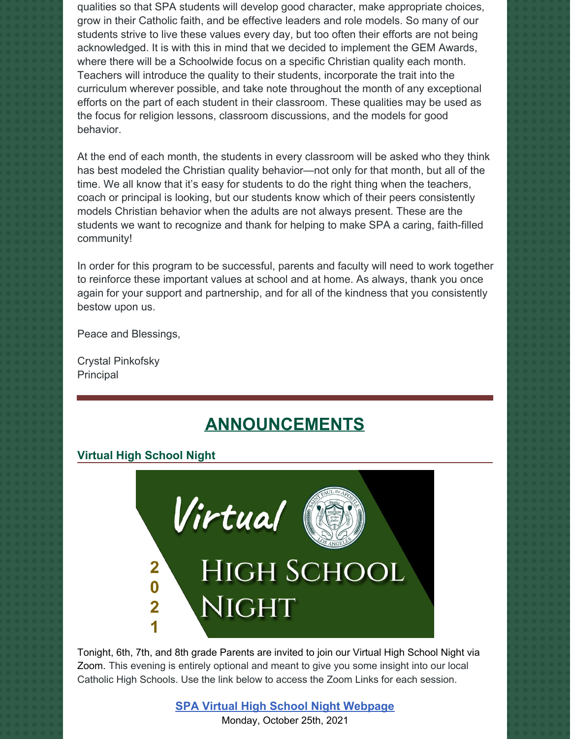qualities so that SPA students will develop good character, make appropriate choices, grow in their Catholic faith, and be effective leaders and role models. So many of our students strive to live these values every day, but too often their efforts are not being acknowledged. It is with this in mind that we decided to implement the GEM Awards, where there will be a Schoolwide focus on a specific Christian quality each month. Teachers will introduce the quality to their students, incorporate the trait into the curriculum wherever possible, and take note throughout the month of any exceptional efforts on the part of each student in their classroom. These qualities may be used as the focus for religion lessons, classroom discussions, and the models for good behavior.

At the end of each month, the students in every classroom will be asked who they think has best modeled the Christian quality behavior—not only for that month, but all of the time. We all know that it's easy for students to do the right thing when the teachers, coach or principal is looking, but our students know which of their peers consistently models Christian behavior when the adults are not always present. These are the students we want to recognize and thank for helping to make SPA a caring, faith-filled community!

In order for this program to be successful, parents and faculty will need to work together to reinforce these important values at school and at home. As always, thank you once again for your support and partnership, and for all of the kindness that you consistently bestow upon us.

Peace and Blessings,

Crystal Pinkofsky Principal

# **ANNOUNCEMENTS**

# **Virtual High School Night**



Tonight, 6th, 7th, and 8th grade Parents are invited to join our Virtual High School Night via Zoom. This evening is entirely optional and meant to give you some insight into our local Catholic High Schools. Use the link below to access the Zoom Links for each session.

### **SPA Virtual High School Night [Webpage](https://school.sp-apostle.org/2021-high-school-night)** Monday, October 25th, 2021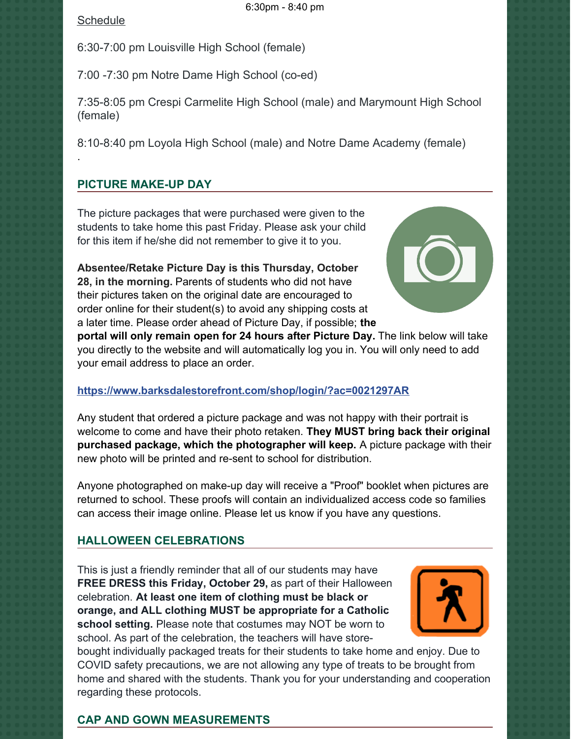#### **Schedule**

.

6:30-7:00 pm Louisville High School (female)

7:00 -7:30 pm Notre Dame High School (co-ed)

7:35-8:05 pm Crespi Carmelite High School (male) and Marymount High School (female)

8:10-8:40 pm Loyola High School (male) and Notre Dame Academy (female)

# **PICTURE MAKE-UP DAY**

The picture packages that were purchased were given to the students to take home this past Friday. Please ask your child for this item if he/she did not remember to give it to you.

**Absentee/Retake Picture Day is this Thursday, October 28, in the morning.** Parents of students who did not have their pictures taken on the original date are encouraged to order online for their student(s) to avoid any shipping costs at a later time. Please order ahead of Picture Day, if possible; **the**



**portal will only remain open for 24 hours after Picture Day.** The link below will take you directly to the website and will automatically log you in. You will only need to add your email address to place an order.

# **<https://www.barksdalestorefront.com/shop/login/?ac=0021297AR>**

Any student that ordered a picture package and was not happy with their portrait is welcome to come and have their photo retaken. **They MUST bring back their original purchased package, which the photographer will keep.** A picture package with their new photo will be printed and re-sent to school for distribution.

Anyone photographed on make-up day will receive a "Proof" booklet when pictures are returned to school. These proofs will contain an individualized access code so families can access their image online. Please let us know if you have any questions.

# **HALLOWEEN CELEBRATIONS**

This is just a friendly reminder that all of our students may have **FREE DRESS this Friday, October 29,** as part of their Halloween celebration. **At least one item of clothing must be black or orange, and ALL clothing MUST be appropriate for a Catholic school setting.** Please note that costumes may NOT be worn to school. As part of the celebration, the teachers will have store-



bought individually packaged treats for their students to take home and enjoy. Due to COVID safety precautions, we are not allowing any type of treats to be brought from home and shared with the students. Thank you for your understanding and cooperation regarding these protocols.

#### **CAP AND GOWN MEASUREMENTS**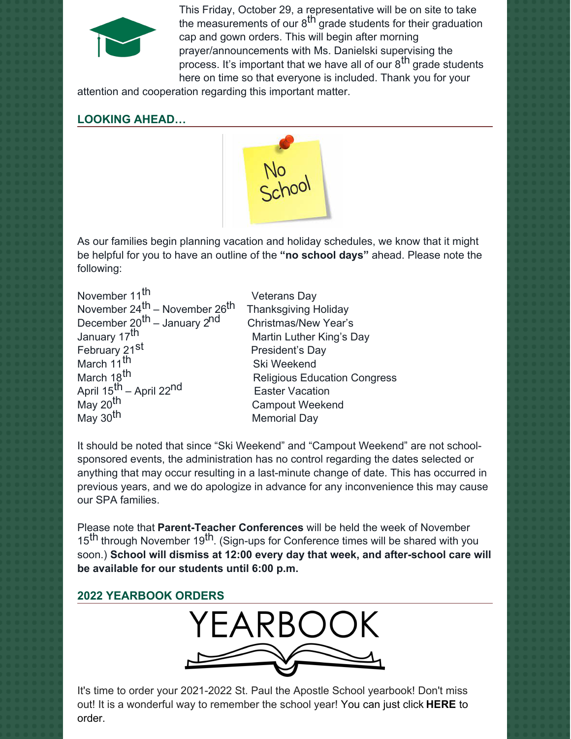

This Friday, October 29, a representative will be on site to take the measurements of our 8<sup>th</sup> grade students for their graduation cap and gown orders. This will begin after morning prayer/announcements with Ms. Danielski supervising the process. It's important that we have all of our 8<sup>th</sup> grade students here on time so that everyone is included. Thank you for your

attention and cooperation regarding this important matter.

# **LOOKING AHEAD…**



As our families begin planning vacation and holiday schedules, we know that it might be helpful for you to have an outline of the **"no school days"** ahead. Please note the following:

| November 11 <sup>th</sup>                                                                       | <b>Veterans Day</b>                 |
|-------------------------------------------------------------------------------------------------|-------------------------------------|
| November 24 <sup>th</sup> – November 26 <sup>th</sup>                                           | <b>Thanksgiving Holiday</b>         |
| December 20 <sup>th</sup> – January 2 <sup>nd</sup>                                             | <b>Christmas/New Year's</b>         |
| January 17 <sup>th</sup>                                                                        | Martin Luther King's Day            |
| February 21 <sup>st</sup>                                                                       | President's Day                     |
| March 11 <sup>th</sup>                                                                          | Ski Weekend                         |
| March 18 <sup>th</sup>                                                                          | <b>Religious Education Congress</b> |
|                                                                                                 | <b>Easter Vacation</b>              |
|                                                                                                 | <b>Campout Weekend</b>              |
| April 15 <sup>th</sup> – April 22 <sup>nd</sup><br>May 20 <sup>th</sup><br>May 30 <sup>th</sup> | <b>Memorial Day</b>                 |

It should be noted that since "Ski Weekend" and "Campout Weekend" are not schoolsponsored events, the administration has no control regarding the dates selected or anything that may occur resulting in a last-minute change of date. This has occurred in previous years, and we do apologize in advance for any inconvenience this may cause our SPA families.

Please note that **Parent-Teacher Conferences** will be held the week of November 15<sup>th</sup> through November 19<sup>th</sup>. (Sign-ups for Conference times will be shared with you soon.) **School will dismiss at 12:00 every day that week, and after-school care will be available for our students until 6:00 p.m.**



It's time to order your 2021-2022 St. Paul the Apostle School yearbook! Don't miss out! It is a wonderful way to remember the school year! You can just click **[HERE](https://www.prestoregister.com/cgi-bin/order.pl?ref=spapostle_school&fm=3)** to order.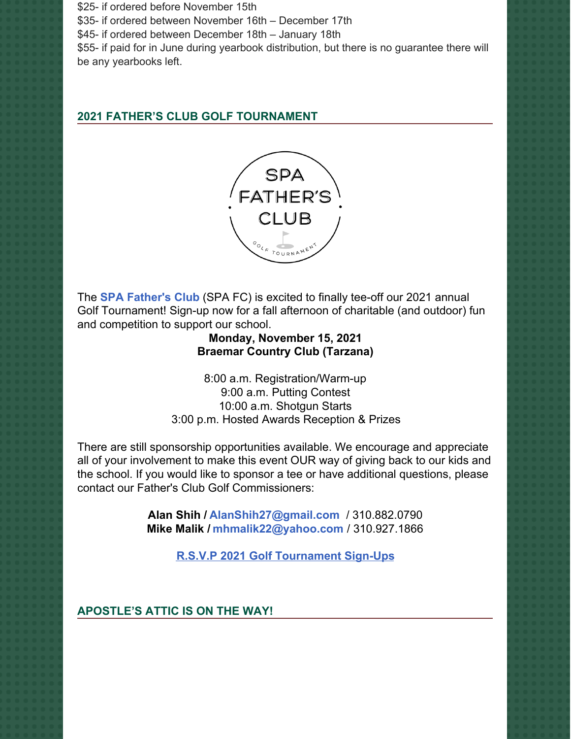\$25- if ordered before November 15th \$35- if ordered between November 16th – December 17th \$45- if ordered between December 18th – January 18th \$55- if paid for in June during yearbook distribution, but there is no guarantee there will be any yearbooks left.

# **2021 FATHER'S CLUB GOLF TOURNAMENT**



The **SPA [Father's](https://www.spadad.org/) Club** (SPA FC) is excited to finally tee-off our 2021 annual Golf Tournament! Sign-up now for a fall afternoon of charitable (and outdoor) fun and competition to support our school.

# **Monday, November 15, 2021 Braemar Country Club (Tarzana)**

8:00 a.m. Registration/Warm-up 9:00 a.m. Putting Contest 10:00 a.m. Shotgun Starts 3:00 p.m. Hosted Awards Reception & Prizes

There are still sponsorship opportunities available. We encourage and appreciate all of your involvement to make this event OUR way of giving back to our kids and the school. If you would like to sponsor a tee or have additional questions, please contact our Father's Club Golf Commissioners:

> **Alan Shih / [AlanShih27@gmail.com](mailto:AlanShih27@gmail.com)** / 310.882.0790 **Mike Malik / [mhmalik22@yahoo.com](mailto:mhmalik22@yahoo.com)** / 310.927.1866

> > **R.S.V.P 2021 Golf [Tournament](https://r20.rs6.net/tn.jsp?f=001M1AGpkBu-9iqvx1s2fs--CQy64vYLrB-3epjAP0fsp0O4O2rs5O9vlCZigk-CHAllmdPWe8jwRMa-MROUAjnpdqOPUxGnfIeKUoFJSnO4ED0wFLb6Vq_0zOH3n0wrB4srCW6B2ddt1n87BaWjTs6JL3KEcpPqVHrgA44krAAd16_NnLSvvadd_d1We2t7RVn17WMKY5UtKmmKIxk5MCkMw==&c=yvB6cQ4Qh7BMJuZ_tXM778lw_fKzn_Ai-aoDp21REAoyTX4rTfCmww==&ch=gcAYQ67QZ-BIVFNhxOZswbT5zlbd3umjVxJqXd4DqoefFRMIVAXVCw==) Sign-Ups**

**APOSTLE'S ATTIC IS ON THE WAY!**